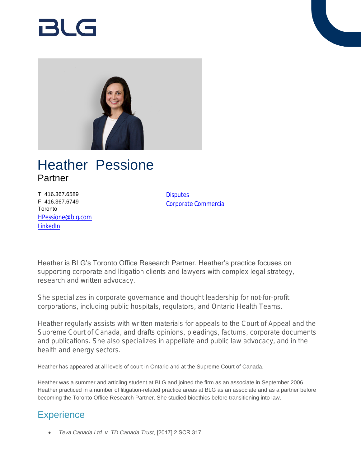

# Heather Pessione Partner

T 416.367.6589 F 416.367.6749 **Toronto** [HPessione@blg.com](mailto:HPessione@blg.com) [LinkedIn](http://ca.linkedin.com/in/heatherpessione)

**[Disputes](https://www.blg.com/en/services/practice-areas/disputes)** [Corporate Commercial](https://www.blg.com/en/services/practice-areas/corporate-commercial)

Heather is BLG's Toronto Office Research Partner. Heather's practice focuses on supporting corporate and litigation clients and lawyers with complex legal strategy, research and written advocacy.

She specializes in corporate governance and thought leadership for not-for-profit corporations, including public hospitals, regulators, and Ontario Health Teams.

Heather regularly assists with written materials for appeals to the Court of Appeal and the Supreme Court of Canada, and drafts opinions, pleadings, factums, corporate documents and publications. She also specializes in appellate and public law advocacy, and in the health and energy sectors.

Heather has appeared at all levels of court in Ontario and at the Supreme Court of Canada.

Heather was a summer and articling student at BLG and joined the firm as an associate in September 2006. Heather practiced in a number of litigation-related practice areas at BLG as an associate and as a partner before becoming the Toronto Office Research Partner. She studied bioethics before transitioning into law.

# **Experience**

*Teva Canada Ltd. v. TD Canada Trust*, [2017] 2 SCR 317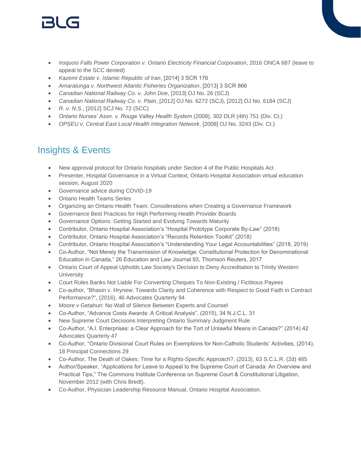# 151 (s

- *Iroquois Falls Power Corporation v. Ontario Electricity Financial Corporation*, 2016 ONCA 687 (leave to appeal to the SCC denied)
- *Kazemi Estate v. Islamic Republic of Iran*, [2014] 3 SCR 176
- *Amaratunga v. Northwest Atlantic Fisheries Organization*, [2013] 3 SCR 866
- *Canadian National Railway Co. v. John Doe*, [2013] OJ No. 26 (SCJ)
- *Canadian National Railway Co. v. Plain*, [2012] OJ No. 6272 (SCJ), [2012] OJ No. 6184 (SCJ)
- *R. v. N.S.*, [2012] SCJ No. 72 (SCC)
- *Ontario Nurses' Assn. v. Rouge Valley Health System* (2008), 302 DLR (4th) 751 (Div. Ct.)
- *OPSEU v. Central East Local Health Integration Network*, [2008] OJ No. 3243 (Div. Ct.)

# Insights & Events

- New approval protocol for Ontario hospitals under Section 4 of the Public Hospitals Act
- Presenter, Hospital Governance in a Virtual Context, Ontario Hospital Association virtual education session, August 2020
- Governance advice during COVID-19
- Ontario Health Teams Series
- Organizing an Ontario Health Team: Considerations when Creating a Governance Framework
- Governance Best Practices for High Performing Health Provider Boards
- Governance Options: Getting Started and Evolving Towards Maturity
- Contributor, Ontario Hospital Association's "Hospital Prototype Corporate By-Law" (2018)
- Contributor, Ontario Hospital Association's "Records Retention Toolkit" (2018)
- Contributor, Ontario Hospital Association's "Understanding Your Legal Accountabilities" (2018, 2019)
- Co-Author, "Not Merely the Transmission of Knowledge: Constitutional Protection for Denominational Education in Canada," 26 Education and Law Journal 93, Thomson Reuters, 2017
- Ontario Court of Appeal Upholds Law Society's Decision to Deny Accreditation to Trinity Western **University**
- Court Rules Banks Not Liable For Converting Cheques To Non-Existing / Fictitious Payees
- Co-author, "Bhasin v. Hrynew: Towards Clarity and Coherence with Respect to Good Faith in Contract Performance?", (2016), 46 Advocates Quarterly 94
- Moore v Getahun: No Wall of Silence Between Experts and Counsel
- Co-Author, "Advance Costs Awards: A Critical Analysis", (2015), 34 N.J.C.L. 31
- New Supreme Court Decisions Interpreting Ontario Summary Judgment Rule
- Co-Author, "A.I. Enterprises: a Clear Approach for the Tort of Unlawful Means in Canada?" (2014) 42 Advocates Quarterly 47
- Co-Author, "Ontario Divisional Court Rules on Exemptions for Non-Catholic Students' Activities, (2014), 18 Principal Connections 29
- Co-Author, The Death of Oakes: Time for a Rights-Specific Approach?, (2013), 63 S.C.L.R. (2d) 485
- Author/Speaker, "Applications for Leave to Appeal to the Supreme Court of Canada: An Overview and Practical Tips," The Commons Institute Conference on Supreme Court & Constitutional Litigation, November 2012 (with Chris Bredt).
- Co-Author, Physician Leadership Resource Manual, Ontario Hospital Association.